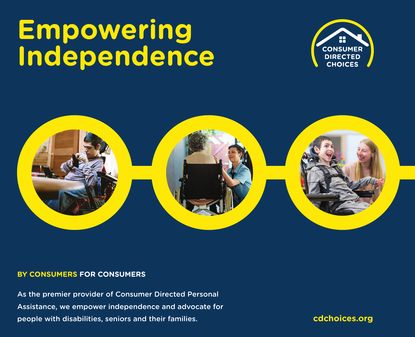# **Empowering Independence**





#### **BY CONSUMERS FOR CONSUMERS**

As the premier provider of Consumer Directed Personal Assistance, we empower independence and advocate for people with disabilities, seniors and their families.

**cdchoices.org**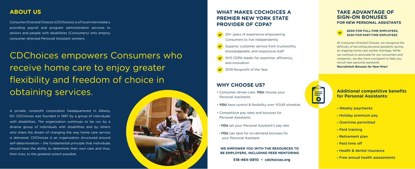Consumer Directed Choices (CDChoices) is a Fiscal Intermediary providing payroll and program administration services to seniors and people with disabilities (Consumers) who employ consumer-directed Personal Assistant workers.

A private, nonprofit corporation headquartered in Albany, NY, CDChoices was founded in 1997 by a group of individuals with disabilities. The organization continues to be run by a diverse group of individuals with disabilities and by others who share the dream of changing the way home care service is delivered. CDChoices is an organization structured around self-determination – the fundamental principle that individuals should have the ability to determine their own care and thus, their lives, to the greatest extent possible.



## **ABOUT US**

## CDChoices empowers Consumers who receive home care to enjoy greater flexibility and freedom of choice in obtaining services.

- 20+ years of experience empowering Consumers to live independently
- Superior customer service from trustworthy, knowledgeable, and responsive staff
- NYS CDPA leader for expertise, efficiency, and innovation
- 2019 Nonprofit of the Year

- Consumer-driven care: **YOU** choose your Personal Assistants
- **YOU** have control & flexibility over YOUR schedule
- Competitive pay rates and bonuses for Personal Assistants
- › **YOU** set your Personal Assistant's pay rate
- › **YOU** can save for on-demand bonuses for your Personal Assistant
- › Weekly paychecks
- › Holiday premium pay
- › Overtime permitted
- › Paid training
- › Retirement plan
- › Paid time off
- › Health & dental insurance
- › Free annual health assessments

### **Additional competitive benefits for Personal Assistants:**

## **WHAT MAKES CDCHOICES A PREMIER NEW YORK STATE PROVIDER OF CDPA?**

## **WHY CHOOSE US?**

#### **WE EMPOWER YOU WITH THE RESOURCES TO BE EMPLOYERS, INCLUDING PEER MENTORING**

**518-464-0810 • cdchoices.org**

## **TAKE ADVANTAGE OF SIGN-ON BONUSES FOR NEW PERSONAL ASSISTANTS**



At Consumer Directed Choices, we recognize the difficulty of recruiting personal assistants during an ongoing home care worker shortage. While we continue to advocate for our consumers and caregivers, we also have a program to help you recruit new personal assistants: **Recruitment Bonuses for New Hires!**

#### **\$500 FOR FULL-TIME EMPLOYEES, \$250 FOR PART-TIME EMPLOYEES**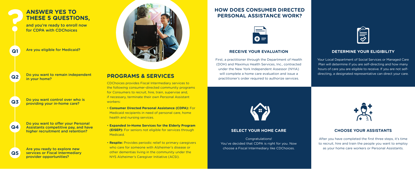## **ANSWER YES TO THESE 5 QUESTIONS,**

and you're ready to enroll now for CDPA with CDChoices

Are you eligible for Medicaid?

Do you want to remain independent in your home?

Do you want control over who is providing your in-home care?

Do you want to offer your Personal Assistants competitive pay, and have higher recruitment and retention?

Are you ready to explore new services or Fiscal Intermediary provider opportunities?

## **PROGRAMS & SERVICES**

CDChoices provides Fiscal Intermediary services to the following consumer-directed community programs for Consumers to recruit, hire, train, supervise and, if necessary, terminate their own Personal Assistant workers:

- **Consumer Directed Personal Assistance (CDPA):** For Medicaid recipients in need of personal care, home health and nursing services.
- **Expanded In-Home Services for the Elderly Program (EISEP):** For seniors not eligible for services through Medicaid.
- **Respite:** Provides periodic relief to primary caregivers who care for someone with Alzheimer's disease or other dementias living in the community under the NYS Alzheimer's Caregiver Initiative (ACSI).

**Q1**

**Q2**

**Q3**

## **HOW DOES CONSUMER DIRECTED PERSONAL ASSISTANCE WORK?**



#### **RECEIVE YOUR EVALUATION**

First, a practitioner through the Department of Health (DOH) and Maximus Health Services, Inc., contracted under the New York Independent Assessor (NYIA) will complete a home care evaluation and issue a practitioner's order required to authorize services.



#### **DETERMINE YOUR ELIGIBILITY**

Your Local Department of Social Services or Managed Care Plan will determine if you are self-directing and how many hours of care you are eligible to receive. If you are not selfdirecting, a designated representative can direct your care.



#### **SELECT YOUR HOME CARE**

#### Congratulations!

You've decided that CDPA is right for you. Now choose a Fiscal Intermediary like CDChoices.



#### **CHOOSE YOUR ASSISTANTS**

After you have completed the first three steps, it's time to recruit, hire and train the people you want to employ as your home care workers or Personal Assistants.